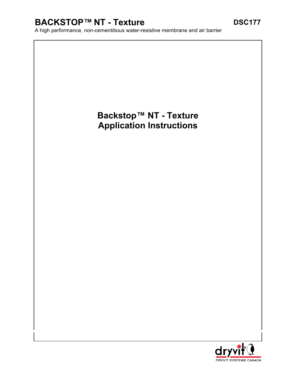# **BACKSTOP™ NT - Texture DSC177**

A high performance, non-cementitious water-resistive membrane and air barrier

# **Backstop™ NT - Texture Application Instructions**

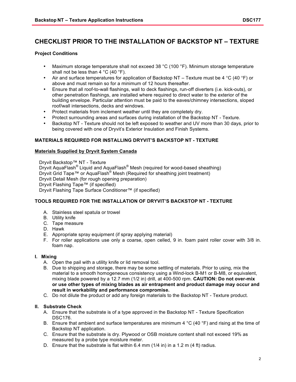## **CHECKLIST PRIOR TO THE INSTALLATION OF BACKSTOP NT – TEXTURE**

#### **Project Conditions**

- Maximum storage temperature shall not exceed 38 °C (100 °F). Minimum storage temperature shall not be less than 4 °C (40 °F).
- Air and surface temperatures for application of Backstop NT Texture must be 4 °C (40 °F) or above and must remain so for a minimum of 12 hours thereafter.
- Ensure that all roof-to-wall flashings, wall to deck flashings, run-off diverters (i.e. kick-outs), or other penetration flashings, are installed where required to direct water to the exterior of the building envelope. Particular attention must be paid to the eaves/chimney intersections, sloped roof/wall intersections, decks and windows.
- Protect materials from inclement weather until they are completely dry.
- Protect surrounding areas and surfaces during installation of the Backstop NT Texture.
- Backstop NT Texture should not be left exposed to weather and UV more than 30 days, prior to being covered with one of Dryvit's Exterior Insulation and Finish Systems.

#### **MATERIALS REQUIRED FOR INSTALLING DRYVIT'S BACKSTOP NT - TEXTURE**

#### **Materials Supplied by Dryvit System Canada**

Dryvit Backstop™ NT - Texture Dryvit AquaFlash<sup>®</sup> Liquid and AquaFlash<sup>®</sup> Mesh (required for wood-based sheathing) Dryvit Grid Tape™ or AquaFlash® Mesh (Required for sheathing joint treatment) Dryvit Detail Mesh (for rough opening preparation) Dryvit Flashing Tape™ (if specified) Dryvit Flashing Tape Surface Conditioner™ (if specified)

#### **TOOLS REQUIRED FOR THE INSTALLATION OF DRYVIT'S BACKSTOP NT - TEXTURE**

- A. Stainless steel spatula or trowel
- B. Utility knife
- C. Tape measure
- D. Hawk
- E. Appropriate spray equipment (if spray applying material)
- F. For roller applications use only a coarse, open celled, 9 in. foam paint roller cover with 3/8 in. foam nap.

#### **I. Mixing**

- A. Open the pail with a utility knife or lid removal tool.
- B. Due to shipping and storage, there may be some settling of materials. Prior to using, mix the material to a smooth homogeneous consistency using a Wind-lock B-M1 or B-M8, or equivalent, mixing blade powered by a 12.7 mm (1/2 in) drill, at 400-500 rpm. **CAUTION: Do not over-mix or use other types of mixing blades as air entrapment and product damage may occur and result in workability and performance compromise.**
- C. Do not dilute the product or add any foreign materials to the Backstop NT Texture product.

#### **II. Substrate Check**

- A. Ensure that the substrate is of a type approved in the Backstop NT Texture Specification DSC176.
- B. Ensure that ambient and surface temperatures are minimum 4  $\degree$ C (40  $\degree$ F) and rising at the time of Backstop NT application.
- C. Ensure that the substrate is dry. Plywood or OSB moisture content shall not exceed 19% as measured by a probe type moisture meter.
- D. Ensure that the substrate is flat within 6.4 mm (1/4 in) in a 1.2 m (4 ft) radius.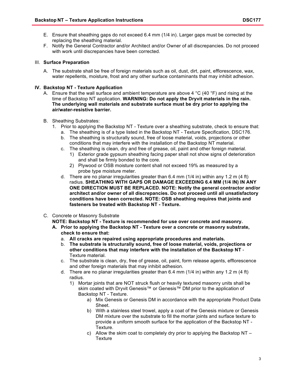- E. Ensure that sheathing gaps do not exceed 6.4 mm (1/4 in). Larger gaps must be corrected by replacing the sheathing material.
- F. Notify the General Contractor and/or Architect and/or Owner of all discrepancies. Do not proceed with work until discrepancies have been corrected.

#### III. **Surface Preparation**

A. The substrate shall be free of foreign materials such as oil, dust, dirt, paint, efflorescence, wax, water repellents, moisture, frost and any other surface contaminants that may inhibit adhesion.

#### **IV. Backstop NT - Texture Application**

A. Ensure that the wall surface and ambient temperature are above 4  $\degree$ C (40  $\degree$ F) and rising at the time of Backstop NT application. **WARNING: Do not apply the Dryvit materials in the rain. The underlying wall materials and substrate surface must be dry prior to applying the air/water-resistive barrier.**

#### B. Sheathing Substrates:

- 1. Prior to applying the Backstop NT Texture over a sheathing substrate, check to ensure that:
	- a. The sheathing is of a type listed in the Backstop NT Texture Specification, DSC176.
		- b. The sheathing is structurally sound, free of loose material, voids, projections or other conditions that may interfere with the installation of the Backstop NT material.
		- c. The sheathing is clean, dry and free of grease, oil, paint and other foreign material. 1) Exterior grade gypsum sheathing facing paper shall not show signs of deterioration and shall be firmly bonded to the core.
			- 2) Plywood or OSB moisture content shall not exceed 19% as measured by a probe type moisture meter.
		- d. There are no planar irregularities greater than 6.4 mm (1/4 in) within any 1.2 m (4 ft) radius. **SHEATHING WITH GAPS OR DAMAGE EXCEEDING 6.4 MM (1/4 IN) IN ANY ONE DIRECTION MUST BE REPLACED. NOTE: Notify the general contractor and/or architect and/or owner of all discrepancies. Do not proceed until all unsatisfactory conditions have been corrected. NOTE: OSB sheathing requires that joints and fasteners be treated with Backstop NT - Texture.**
- C. Concrete or Masonry Substrate

**NOTE: Backstop NT - Texture is recommended for use over concrete and masonry.** 

- **A. Prior to applying the Backstop NT - Texture over a concrete or masonry substrate, check to ensure that:** 
	- a. **All cracks are repaired using appropriate procedures and materials.**
	- b. **The substrate is structurally sound, free of loose material, voids, projections or other conditions that may interfere with the installation of the Backstop NT** - Texture material.
	- c. The substrate is clean, dry, free of grease, oil, paint, form release agents, efflorescence and other foreign materials that may inhibit adhesion.
	- d. There are no planar irregularities greater than 6.4 mm (1/4 in) within any 1.2 m (4 ft) radius.
		- 1) Mortar joints that are NOT struck flush or heavily textured masonry units shall be skim coated with Dryvit Genesis™ or Genesis™ DM prior to the application of Backstop NT - Texture.
			- a) Mix Genesis or Genesis DM in accordance with the appropriate Product Data Sheet.
			- b) With a stainless steel trowel, apply a coat of the Genesis mixture or Genesis DM mixture over the substrate to fill the mortar joints and surface texture to provide a uniform smooth surface for the application of the Backstop NT - Texture.
			- c) Allow the skim coat to completely dry prior to applying the Backstop NT **Texture**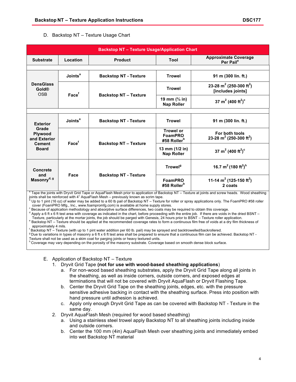#### D. Backstop NT – Texture Usage Chart

| <b>Backstop NT - Texture Usage/Application Chart</b>                                                                                                                                                                                                                                                                                                                                                                                                                                                                                                                                                                                                                                                                                                                                                                                                                                                                                                                                                                                                                                                                                                                                                                                                                                                                                                                                                                                                                                                                                                                                                                                            |                           |                              |                                                        |                                                                      |
|-------------------------------------------------------------------------------------------------------------------------------------------------------------------------------------------------------------------------------------------------------------------------------------------------------------------------------------------------------------------------------------------------------------------------------------------------------------------------------------------------------------------------------------------------------------------------------------------------------------------------------------------------------------------------------------------------------------------------------------------------------------------------------------------------------------------------------------------------------------------------------------------------------------------------------------------------------------------------------------------------------------------------------------------------------------------------------------------------------------------------------------------------------------------------------------------------------------------------------------------------------------------------------------------------------------------------------------------------------------------------------------------------------------------------------------------------------------------------------------------------------------------------------------------------------------------------------------------------------------------------------------------------|---------------------------|------------------------------|--------------------------------------------------------|----------------------------------------------------------------------|
| <b>Substrate</b>                                                                                                                                                                                                                                                                                                                                                                                                                                                                                                                                                                                                                                                                                                                                                                                                                                                                                                                                                                                                                                                                                                                                                                                                                                                                                                                                                                                                                                                                                                                                                                                                                                | Location                  | <b>Product</b>               | Tool                                                   | <b>Approximate Coverage</b><br>Per Pail <sup>e</sup>                 |
|                                                                                                                                                                                                                                                                                                                                                                                                                                                                                                                                                                                                                                                                                                                                                                                                                                                                                                                                                                                                                                                                                                                                                                                                                                                                                                                                                                                                                                                                                                                                                                                                                                                 |                           |                              |                                                        |                                                                      |
| <b>DensGlass</b><br><b>Gold®</b><br><b>OSB</b>                                                                                                                                                                                                                                                                                                                                                                                                                                                                                                                                                                                                                                                                                                                                                                                                                                                                                                                                                                                                                                                                                                                                                                                                                                                                                                                                                                                                                                                                                                                                                                                                  | <b>Joints<sup>a</sup></b> | <b>Backstop NT - Texture</b> | <b>Trowel</b>                                          | 91 m (300 lin. ft.)                                                  |
|                                                                                                                                                                                                                                                                                                                                                                                                                                                                                                                                                                                                                                                                                                                                                                                                                                                                                                                                                                                                                                                                                                                                                                                                                                                                                                                                                                                                                                                                                                                                                                                                                                                 | Face <sup>f</sup>         | <b>Backstop NT - Texture</b> | <b>Trowel</b>                                          | 23-28 m <sup>2</sup> (250-300 ft <sup>2</sup> )<br>[includes joints] |
|                                                                                                                                                                                                                                                                                                                                                                                                                                                                                                                                                                                                                                                                                                                                                                                                                                                                                                                                                                                                                                                                                                                                                                                                                                                                                                                                                                                                                                                                                                                                                                                                                                                 |                           |                              | 19 mm $(*$ in)<br><b>Nap Roller</b>                    | 37 m <sup>2</sup> (400 ft <sup>2</sup> ) <sup>c</sup>                |
|                                                                                                                                                                                                                                                                                                                                                                                                                                                                                                                                                                                                                                                                                                                                                                                                                                                                                                                                                                                                                                                                                                                                                                                                                                                                                                                                                                                                                                                                                                                                                                                                                                                 |                           |                              |                                                        |                                                                      |
| <b>Exterior</b><br>Grade<br>Plywood<br>and Exterior<br><b>Cement</b><br><b>Board</b>                                                                                                                                                                                                                                                                                                                                                                                                                                                                                                                                                                                                                                                                                                                                                                                                                                                                                                                                                                                                                                                                                                                                                                                                                                                                                                                                                                                                                                                                                                                                                            | Joints <sup>a</sup>       | <b>Backstop NT - Texture</b> | <b>Trowel</b>                                          | 91 m (300 lin. ft.)                                                  |
|                                                                                                                                                                                                                                                                                                                                                                                                                                                                                                                                                                                                                                                                                                                                                                                                                                                                                                                                                                                                                                                                                                                                                                                                                                                                                                                                                                                                                                                                                                                                                                                                                                                 | Face <sup>f</sup>         | <b>Backstop NT - Texture</b> | <b>Trowel or</b><br>FoamPRO<br>#58 Roller <sup>b</sup> | For both tools<br>23-28 m <sup>2</sup> (250-300 ft <sup>2</sup> )    |
|                                                                                                                                                                                                                                                                                                                                                                                                                                                                                                                                                                                                                                                                                                                                                                                                                                                                                                                                                                                                                                                                                                                                                                                                                                                                                                                                                                                                                                                                                                                                                                                                                                                 |                           |                              | 13 mm (1/2 in)<br><b>Nap Roller</b>                    | 37 m <sup>2</sup> (400 ft <sup>2</sup> ) <sup>c</sup>                |
| <b>Concrete</b><br>and<br>Masonry <sup>d, g</sup>                                                                                                                                                                                                                                                                                                                                                                                                                                                                                                                                                                                                                                                                                                                                                                                                                                                                                                                                                                                                                                                                                                                                                                                                                                                                                                                                                                                                                                                                                                                                                                                               | Face                      | <b>Backstop NT - Texture</b> | Trowel <sup>9</sup>                                    | 16.7 m <sup>2</sup> (180 ft <sup>2</sup> ) <sup>h</sup>              |
|                                                                                                                                                                                                                                                                                                                                                                                                                                                                                                                                                                                                                                                                                                                                                                                                                                                                                                                                                                                                                                                                                                                                                                                                                                                                                                                                                                                                                                                                                                                                                                                                                                                 |                           |                              | FoamPRO<br>#58 Roller <sup>b</sup>                     | 11-14 m <sup>2</sup> (125-150 ft <sup>2</sup> )<br>2 coats           |
| <sup>a</sup> Tape the joints with Dryvit Grid Tape or AquaFlash Mesh prior to application of Backstop NT - Texture at joints and screw heads. Wood sheathing<br>joints shall be reinforced with 4" AquaFlash Mesh - previously known as scrim tape.<br>$^{\rm b}$ Up to 1 pint (16 oz) of water may be added to a 60 lb pail of Backstop NT – Texture for roller or spray applications only. The FoamPRO #58 roller<br>cover (FoamPRO Mfg., Inc., www.foampromfg.com) is available at home supply stores.<br><sup>c</sup> Because of application methodology and absorptive surface differences, two coats may be required to obtain this coverage.<br>d Apply a 6 ft x 6 ft test area with coverage as indicated in the chart, before proceeding with the entire job. If there are voids in the dried BSNT -<br>Texture, particularly at the mortar joints, the job should be parged with Genesis, 24 hours prior to BSNT - Texture roller application.<br>Backstop NT - Texture should be applied at the recommended coverage rates to form a continuous film free of voids at a dry film thickness of<br>approximately 4 mils.<br>Backstop NT - Texture (with up to 1 pint water addition per 60 lb. pail) may be sprayed and backtrowelled/backrollered.<br>$9$ Due to variations in types of masonry a 6 ft x 6 ft test area shall be prepared to ensure that a continuous film can be achieved. Backstop NT -<br>Texture shall not be used as a skim coat for parging joints or heavy textured units.<br><sup>h</sup> Coverage may vary depending on the porosity of the masonry substrate. Coverage based on smooth dense block surface. |                           |                              |                                                        |                                                                      |

#### E. Application of Backstop NT – Texture

- 1. Dryvit Grid Tape **(not for use with wood-based sheathing applications**)
	- a. For non-wood based sheathing substrates, apply the Dryvit Grid Tape along all joints in the sheathing, as well as inside corners, outside corners, and exposed edges at terminations that will not be covered with Dryvit AquaFlash or Dryvit Flashing Tape.
	- b. Center the Dryvit Grid Tape on the sheathing joints, edges, etc. with the pressure sensitive adhesive backing in contact with the sheathing surface. Press into position with hand pressure until adhesion is achieved.
	- c. Apply only enough Dryvit Grid Tape as can be covered with Backstop NT Texture in the same day.
- 2. Dryvit AquaFlash Mesh (required for wood based sheathing)
	- a. Using a stainless steel trowel apply Backstop NT to all sheathing joints including inside and outside corners.
	- b. Center the 100 mm (4in) AquaFlash Mesh over sheathing joints and immediately embed into wet Backstop NT material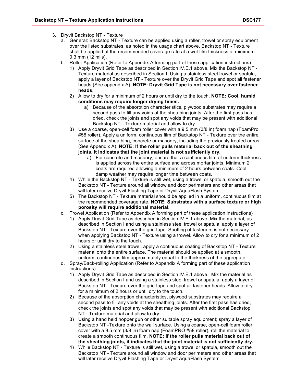- 3. Dryvit Backstop NT Texture
	- a. General: Backstop NT Texture can be applied using a roller, trowel or spray equipment over the listed substrates, as noted in the usage chart above. Backstop NT - Texture shall be applied at the recommended coverage rate at a wet film thickness of minimum 0.3 mm (12 mils).
	- b. Roller Application (Refer to Appendix A forming part of these application instructions).
		- 1) Apply Dryvit Grid Tape as described in Section IV.E.1 above. Mix the Backstop NT Texture material as described in Section I. Using a stainless steel trowel or spatula, apply a layer of Backstop NT - Texture over the Dryvit Grid Tape and spot all fastener heads (See appendix A). **NOTE: Dryvit Grid Tape is not necessary over fastener heads.**
		- 2) Allow to dry for a minimum of 2 hours or until dry to the touch. **NOTE: Cool, humid conditions may require longer drying times.** 
			- a) Because of the absorption characteristics, plywood substrates may require a second pass to fill any voids at the sheathing joints. After the first pass has dried, check the joints and spot any voids that may be present with additional Backstop NT - Texture material and allow to dry.
		- 3) Use a coarse, open-cell foam roller cover with a 9.5 mm (3/8 in) foam nap (FoamPro #58 roller). Apply a uniform, continuous film of Backstop NT - Texture over the entire surface of the sheathing, concrete or masonry, including the previously treated areas (See Appendix A). **NOTE: If the roller pulls material back out of the sheathing joints, it indicates that the joint material is not sufficiently dry.** 
			- a) For concrete and masonry, ensure that a continuous film of uniform thickness is applied across the entire surface and across mortar joints. Minimum 2 coats are required allowing a minimum of 2 hours between coats. Cool, damp weather may require longer time between coats.
		- 4) While the Backstop NT Texture is still wet, using a trowel or spatula, smooth out the Backstop NT - Texture around all window and door perimeters and other areas that will later receive Dryvit Flashing Tape or Dryvit AquaFlash System.
		- 5) The Backstop NT Texture material should be applied in a uniform, continuous film at the recommended coverage rate. **NOTE: Substrates with a surface texture or high porosity will require additional material.**
	- c. Trowel Application (Refer to Appendix A forming part of these application instructions)
		- 1) Apply Dryvit Grid Tape as described in Section IV.E.1 above. Mix the material, as described in Section I and using a stainless steel trowel or spatula, apply a layer of Backstop NT - Texture over the grid tape. Spotting of fasteners is not necessary when applying Backstop NT - Texture using a trowel. Allow to dry for a minimum of 2 hours or until dry to the touch.
		- 2) Using a stainless steel trowel, apply a continuous coating of Backstop NT Texture material onto the entire surface. The material should be applied at a smooth, uniform, continuous film approximately equal to the thickness of the aggregate.
	- d. Spray/Back-rolling Application (Refer to Appendix A forming part of these application instructions)
		- 1) Apply Dryvit Grid Tape as described in Section IV.E.1 above. Mix the material as described in Section I and using a stainless steel trowel or spatula, apply a layer of Backstop NT - Texture over the grid tape and spot all fastener heads. Allow to dry for a minimum of 2 hours or until dry to the touch.
		- 2) Because of the absorption characteristics, plywood substrates may require a second pass to fill any voids at the sheathing joints. After the first pass has dried, check the joints and spot any voids that may be present with additional Backstop NT - Texture material and allow to dry.
		- 3) Using a hand held hopper gun or other suitable spray equipment; spray a layer of Backstop NT -Texture onto the wall surface. Using a coarse, open-cell foam roller cover with a 9.5 mm (3/8 in) foam nap (FoamPRO #58 roller), roll the material to create a smooth continuous film. **NOTE: If the roller pulls material back out of the sheathing joints, it indicates that the joint material is not sufficiently dry.**
		- 4) While Backstop NT Texture is still wet, using a trowel or spatula, smooth out the Backstop NT - Texture around all window and door perimeters and other areas that will later receive Dryvit Flashing Tape or Dryvit AquaFlash System.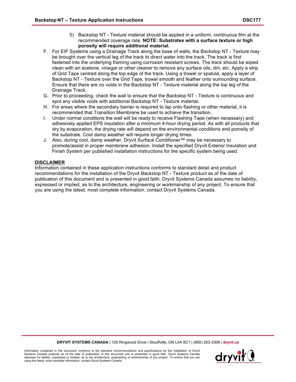- 5) Backstop NT Texture material should be applied in a uniform, continuous film at the recommended coverage rate. **NOTE: Substrates with a surface texture or high porosity will require additional material.**
- F. For EIF Systems using a Drainage Track along the base of walls, the Backstop NT Texture may be brought over the vertical leg of the track to direct water into the track. The track is first fastened into the underlying framing using corrosion resistant screws. The track should be wiped clean with an acetone, vinegar or other cleaner to remove any surface oils, dirt, etc. Apply a strip of Grid Tape centred along the top edge of the track. Using a trowel or spatula, apply a layer of Backstop NT - Texture over the Grid Tape, trowel smooth and feather onto surrounding surface. Ensure that there are no voids in the Backstop NT - Texture material along the top leg of the Drainage Track.
- G. Prior to proceeding, check the wall to ensure that the Backstop NT Texture is continuous and spot any visible voids with additional Backstop NT - Texture material.
- H. For areas where the secondary barrier is required to lap onto flashing or other material, it is recommended that Transition Membrane be used to achieve the transition.
- I. Under normal conditions the wall will be ready to receive Flashing Tape (when necessary) and adhesively applied EPS insulation after a minimum 4-hour drying period. As with all products that dry by evaporation, the drying rate will depend on the environmental conditions and porosity of the substrate. Cool damp weather will require longer drying times.
- J. Also, during cool, damp weather, Dryvit Surface Conditioner™ may be necessary to promote/assist in proper membrane adhesion. Install the specified Dryvit Exterior Insulation and Finish System per published installation instructions for the specific system being used.

### **DISCLAIMER**

Information contained in these application instructions conforms to standard detail and product recommendations for the installation of the Dryvit Backstop NT - Texture product as of the date of publication of this document and is presented in good faith. Dryvit Systems Canada assumes no liability, expressed or implied, as to the architecture, engineering or workmanship of any project. To ensure that you are using the latest, most complete information, contact Dryvit Systems Canada.

**DRYVIT SYSTEMS CANADA** | 129 Ringwood Drive | Stouffville, ON L4A 8C1 | (800) 263-3308 | **dryvit.ca**

Information contained in this document conforms to the standard recommendations and specifications for the installation of Dryvit Systems Canada products as of the date of publication of this document and is presented in good faith. Dryvit Systems Canada assumes no liability, expressed or implied, as to the architecture, engineering or workmanship of any project. To ensure that you are using the latest, most complete information, contact Dryvit Systems Canada.

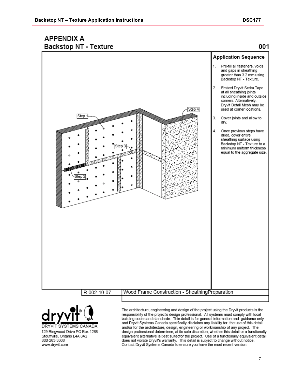## **APPENDIX A Backstop NT - Texture**

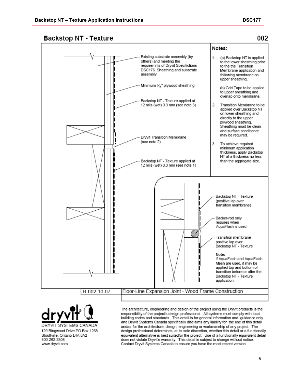002

### **Backstop NT - Texture**

www.dryvit.com



Contact Dryvit Systems Canada to ensure you have the most recent version.

8